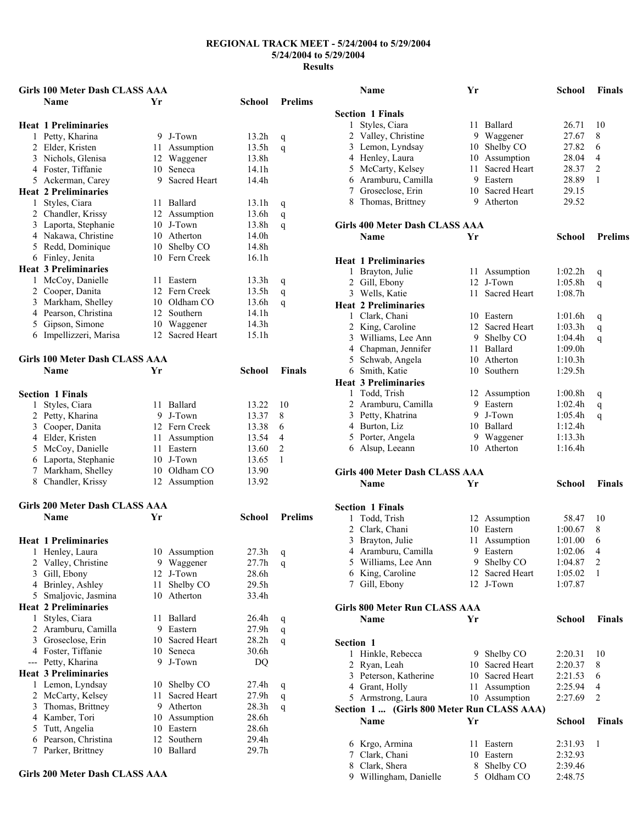|     | Girls 100 Meter Dash CLASS AAA                |         |                     |                   |                |
|-----|-----------------------------------------------|---------|---------------------|-------------------|----------------|
|     | <b>Name</b>                                   | Yr      |                     | School            | <b>Prelims</b> |
|     | <b>Heat 1 Preliminaries</b>                   |         |                     |                   |                |
|     | 1 Petty, Kharina                              |         | 9 J-Town            | 13.2h             | q              |
|     | 2 Elder, Kristen                              |         | 11 Assumption       | 13.5h             | q              |
|     | 3 Nichols, Glenisa                            |         | 12 Waggener         | 13.8h             |                |
|     | 4 Foster, Tiffanie                            | 10      | Seneca              | 14.1h             |                |
|     | 5 Ackerman, Carey                             | 9       | <b>Sacred Heart</b> | 14.4h             |                |
|     | <b>Heat 2 Preliminaries</b>                   |         |                     |                   |                |
| 1   | Styles, Ciara                                 |         | 11 Ballard          | 13.1h             | q              |
|     | 2 Chandler, Krissy                            |         | 12 Assumption       | 13.6h             | q              |
|     | 3 Laporta, Stephanie                          |         | 10 J-Town           | 13.8h             | q              |
|     | 4 Nakawa, Christine                           |         | 10 Atherton         | 14.0h             |                |
|     | 5 Redd, Dominique                             |         | 10 Shelby CO        | 14.8h             |                |
|     | 6 Finley, Jenita                              |         | 10 Fern Creek       | 16.1h             |                |
|     | <b>Heat 3 Preliminaries</b>                   |         |                     |                   |                |
|     | 1 McCoy, Danielle                             |         | 11 Eastern          | 13.3 <sub>h</sub> | q              |
|     | 2 Cooper, Danita                              |         | 12 Fern Creek       | 13.5h             | q              |
|     | 3 Markham, Shelley                            |         | 10 Oldham CO        | 13.6h             | q              |
|     | 4 Pearson, Christina                          |         | 12 Southern         | 14.1h             |                |
|     | 5 Gipson, Simone                              |         | 10 Waggener         | 14.3h             |                |
|     | 6 Impellizzeri, Marisa                        |         | 12 Sacred Heart     | 15.1h             |                |
|     |                                               |         |                     |                   |                |
|     | <b>Girls 100 Meter Dash CLASS AAA</b>         |         |                     |                   |                |
|     | <b>Name</b>                                   | Yr      |                     | School            | Finals         |
|     | <b>Section 1 Finals</b>                       |         |                     |                   |                |
| 1   | Styles, Ciara                                 |         | 11 Ballard          | 13.22             | 10             |
|     | 2 Petty, Kharina                              |         | 9 J-Town            | 13.37             | 8              |
|     | 3 Cooper, Danita                              |         | 12 Fern Creek       | 13.38             | 6              |
|     | 4 Elder, Kristen                              |         | 11 Assumption       | 13.54             | 4              |
|     | 5 McCoy, Danielle                             |         | 11 Eastern          | 13.60             | $\overline{c}$ |
|     | 6 Laporta, Stephanie                          |         | 10 J-Town           | 13.65             | 1              |
|     | 7 Markham, Shelley                            |         | 10 Oldham CO        | 13.90             |                |
|     | 8 Chandler, Krissy                            |         | 12 Assumption       | 13.92             |                |
|     | Girls 200 Meter Dash CLASS AAA                |         |                     |                   |                |
|     | <b>Name</b>                                   | Yr      |                     | School            | <b>Prelims</b> |
|     | <b>Heat 1 Preliminaries</b>                   |         |                     |                   |                |
|     | 1 Henley, Laura                               |         | 10 Assumption       | 27.3h             |                |
| 2   | Valley, Christine                             |         | 9 Waggener          | 27.7h             | q              |
| 3   | Gill, Ebony                                   |         | 12 J-Town           | 28.6h             | q              |
|     | 4 Brinley, Ashley                             | 11      | Shelby CO           | 29.5h             |                |
| 5   | Smaljovic, Jasmina                            | 10      | Atherton            | 33.4h             |                |
|     | <b>Heat 2 Preliminaries</b>                   |         |                     |                   |                |
| 1   | Styles, Ciara                                 | 11      | Ballard             | 26.4h             |                |
| 2   | Aramburu, Camilla                             |         | 9 Eastern           | $27.9\mathrm{h}$  | q              |
|     | 3 Groseclose, Erin                            |         | 10 Sacred Heart     | 28.2 <sub>h</sub> | q              |
|     |                                               |         |                     | 30.6h             | q              |
| --- | 4 Foster, Tiffanie                            | 10<br>9 | Seneca<br>J-Town    |                   |                |
|     | Petty, Kharina<br><b>Heat 3 Preliminaries</b> |         |                     | DQ                |                |
| 1   | Lemon, Lyndsay                                |         | 10 Shelby CO        | 27.4h             | q              |
| 2   | McCarty, Kelsey                               | 11      | Sacred Heart        | 27.9h             | q              |
| 3   | Thomas, Brittney                              |         | 9 Atherton          | 28.3h             | q              |
| 4   | Kamber, Tori                                  |         | 10 Assumption       | 28.6h             |                |
| 5   | Tutt, Angelia                                 |         | 10 Eastern          | 28.6h             |                |
| 6   | Pearson, Christina                            | 12      | Southern            | 29.4h             |                |
| 7   | Parker, Brittney                              | 10      | Ballard             | 29.7h             |                |
|     |                                               |         |                     |                   |                |

#### **Girls 200 Meter Dash CLASS AAA**

|           | Name                                               | Yr  |                     | School        | <b>Finals</b>  |
|-----------|----------------------------------------------------|-----|---------------------|---------------|----------------|
|           | <b>Section 1 Finals</b>                            |     |                     |               |                |
| 1         | Styles, Ciara                                      |     | 11 Ballard          | 26.71         | 10             |
|           | 2 Valley, Christine                                |     | 9 Waggener          | 27.67         | 8              |
|           | 3 Lemon, Lyndsay                                   |     | 10 Shelby CO        | 27.82         | 6              |
|           | 4 Henley, Laura                                    | 10  | Assumption          | 28.04         | 4              |
|           | 5 McCarty, Kelsey                                  | 11  | <b>Sacred Heart</b> | 28.37         | 2              |
|           | 6 Aramburu, Camilla                                |     | 9 Eastern           | 28.89         | 1              |
|           | 7 Groseclose, Erin                                 |     | 10 Sacred Heart     | 29.15         |                |
|           | 8 Thomas, Brittney                                 |     | 9 Atherton          | 29.52         |                |
|           | Girls 400 Meter Dash CLASS AAA                     |     |                     |               |                |
|           | <b>Name</b>                                        | Yr  |                     | School        | <b>Prelims</b> |
|           |                                                    |     |                     |               |                |
|           | <b>Heat 1 Preliminaries</b>                        |     |                     |               |                |
|           | 1 Brayton, Julie                                   | 11  | Assumption          | 1:02.2h       | q              |
|           | 2 Gill, Ebony                                      | 12  | J-Town              | 1:05.8h       | q              |
|           | 3 Wells, Katie                                     | 11. | <b>Sacred Heart</b> | 1:08.7h       |                |
|           | <b>Heat 2 Preliminaries</b>                        |     |                     |               |                |
|           | 1 Clark, Chani                                     |     | 10 Eastern          | 1:01.6h       | q              |
|           | 2 King, Caroline                                   | 12  | <b>Sacred Heart</b> | 1:03.3h       | q              |
|           | 3 Williams, Lee Ann                                |     | 9 Shelby CO         | 1:04.4h       | q              |
|           | 4 Chapman, Jennifer                                | 11  | Ballard             | 1:09.0h       |                |
|           | 5 Schwab, Angela                                   |     | 10 Atherton         | 1:10.3h       |                |
|           | 6 Smith, Katie                                     | 10  | Southern            | 1:29.5h       |                |
|           | <b>Heat 3 Preliminaries</b>                        |     |                     |               |                |
|           | 1 Todd, Trish                                      |     | 12 Assumption       | 1:00.8h       | q              |
|           | 2 Aramburu, Camilla                                |     | 9 Eastern           | 1:02.4h       | q              |
|           | 3 Petty, Khatrina                                  | 9.  | J-Town              | 1:05.4h       | q              |
|           | 4 Burton, Liz                                      |     | 10 Ballard          | 1:12.4h       |                |
|           | 5 Porter, Angela                                   |     | 9 Waggener          | 1:13.3h       |                |
|           | 6 Alsup, Leeann                                    |     | 10 Atherton         | 1:16.4h       |                |
|           | Girls 400 Meter Dash CLASS AAA                     |     |                     |               |                |
|           | Name                                               | Yr  |                     | <b>School</b> | <b>Finals</b>  |
|           |                                                    |     |                     |               |                |
|           | <b>Section 1 Finals</b>                            |     |                     |               |                |
| 1         | Todd, Trish                                        |     | 12 Assumption       | 58.47         | 10             |
|           | 2 Clark, Chani                                     |     | 10 Eastern          | 1:00.67       | 8              |
| 3         | Brayton, Julie                                     | 11  | Assumption          | 1:01.00       | 6              |
|           | 4 Aramburu, Camilla                                | 9   | Eastern             | 1:02.06       | 4              |
|           | 5 Williams, Lee Ann                                | 9.  | Shelby CO           | 1:04.87       | $\overline{2}$ |
|           | 6 King, Caroline                                   |     | 12 Sacred Heart     | 1:05.02       | 1              |
|           | 7 Gill, Ebony                                      |     | 12 J-Town           | 1:07.87       |                |
|           | Girls 800 Meter Run CLASS AAA                      |     |                     |               |                |
|           | Name                                               | Yr  |                     | School        | <b>Finals</b>  |
| Section 1 |                                                    |     |                     |               |                |
| 1         | Hinkle, Rebecca                                    |     | 9 Shelby CO         | 2:20.31       | 10             |
|           | 2 Ryan, Leah                                       |     | 10 Sacred Heart     | 2:20.37       | 8              |
|           | 3 Peterson, Katherine                              | 10  | <b>Sacred Heart</b> | 2:21.53       | 6              |
|           |                                                    | 11  |                     | 2:25.94       | 4              |
|           | 4 Grant, Holly                                     |     | Assumption          | 2:27.69       | 2              |
|           | 5 Armstrong, Laura                                 |     | 10 Assumption       |               |                |
|           | Section 1  (Girls 800 Meter Run CLASS AAA)<br>Name | Yr  |                     | School        | <b>Finals</b>  |
|           |                                                    |     |                     |               |                |
|           | 6 Krgo, Armina                                     | 11  | Eastern             | 2:31.93       | 1              |
|           | 7 Clark, Chani                                     | 10  | Eastern             | 2:32.93       |                |
|           | 8 Clark, Shera                                     | 8.  | Shelby CO           | 2:39.46       |                |
| 9.        | Willingham, Danielle                               | 5.  | Oldham CO           | 2:48.75       |                |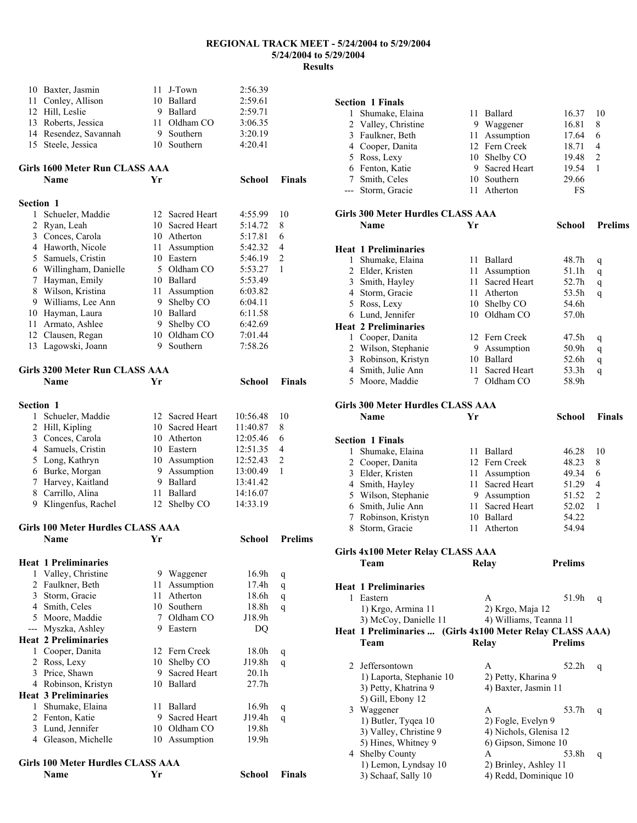**Section 1 Finals** 

|                | Name                                     | Yr   |                                    | School               | Finals         |
|----------------|------------------------------------------|------|------------------------------------|----------------------|----------------|
|                | Girls 100 Meter Hurdles CLASS AAA        |      |                                    |                      |                |
|                | 4 Gleason, Michelle                      |      | 10 Assumption                      | 19.9h                |                |
|                | 3 Lund, Jennifer                         |      | 10 Oldham CO                       | 19.8h                |                |
|                | 2 Fenton, Katie                          | 9    | Sacred Heart                       | J19.4h               | q              |
|                | 1 Shumake, Elaina                        | 11   | Ballard                            | 16.9h                | q              |
|                | <b>Heat 3 Preliminaries</b>              |      |                                    |                      |                |
|                | 4 Robinson, Kristyn                      |      | 10 Ballard                         | 27.7h                |                |
|                | 3 Price, Shawn                           | 9    | Sacred Heart                       | 20.1 <sub>h</sub>    |                |
| 2              | Ross, Lexy                               | 10   | Shelby CO                          | J19.8h               | q              |
| 1              | Cooper, Danita                           | 12   | Fern Creek                         | 18.0h                | q              |
|                | <b>Heat 2 Preliminaries</b>              |      |                                    |                      |                |
| ---            | Myszka, Ashley                           |      | 9 Eastern                          | DQ                   |                |
|                | 5 Moore, Maddie                          | 7    | Oldham CO                          | J18.9h               |                |
|                | 4 Smith, Celes                           |      | 10 Southern                        | 18.8h                | q              |
| $\overline{3}$ | Storm, Gracie                            | 11   | Atherton                           | 18.6h                | q              |
| 2              | Faulkner, Beth                           | 11   | Assumption                         | 17.4h                | q              |
| 1              | Valley, Christine                        |      | 9 Waggener                         | 16.9h                | q              |
|                | <b>Heat 1 Preliminaries</b>              |      |                                    |                      |                |
|                | <b>Name</b>                              | Yr   |                                    | School               | <b>Prelims</b> |
|                | <b>Girls 100 Meter Hurdles CLASS AAA</b> |      |                                    |                      |                |
|                |                                          |      |                                    |                      |                |
|                | 9 Klingenfus, Rachel                     | 12   | Shelby CO                          | 14:33.19             |                |
| 8              | Carrillo, Alina                          | 11   | Ballard                            | 14:16.07             |                |
| 7              | Harvey, Kaitland                         |      | 9 Ballard                          | 13:41.42             |                |
|                | 6 Burke, Morgan                          |      | 9 Assumption                       | 13:00.49             | 1              |
|                | 5 Long, Kathryn                          |      | 10 Assumption                      | 12:52.43             | $\overline{2}$ |
|                | 4 Samuels, Cristin                       |      | 10 Eastern                         | 12:51.35             | 4              |
| 3              | Conces, Carola                           |      | 10 Atherton                        | 12:05.46             | 6              |
| 1<br>2         | Schueler, Maddie<br>Hill, Kipling        |      | 12 Sacred Heart<br>10 Sacred Heart | 10:56.48<br>11:40.87 | 10<br>8        |
| Section 1      |                                          |      |                                    |                      |                |
|                |                                          |      |                                    |                      |                |
|                | Name                                     | Yr   |                                    | <b>School</b>        | <b>Finals</b>  |
|                | <b>Girls 3200 Meter Run CLASS AAA</b>    |      |                                    |                      |                |
|                |                                          |      |                                    |                      |                |
|                | 13 Lagowski, Joann                       |      | 9 Southern                         | 7:58.26              |                |
|                | 12 Clausen, Regan                        |      | 10 Oldham CO                       | 7:01.44              |                |
| 11             | Armato, Ashlee                           | 9    | Shelby CO                          | 6:42.69              |                |
| 10             | Hayman, Laura                            |      | 10 Ballard                         | 6:11.58              |                |
| 9              | Williams, Lee Ann                        | 9.   | Assumption<br>Shelby CO            | 6:04.11              |                |
| 8              | Wilson, Kristina                         | 11   |                                    | 6:03.82              |                |
| 7              | Hayman, Emily                            |      | 10 Ballard                         | 5:53.49              |                |
|                | 6 Willingham, Danielle                   | 5    | Oldham CO                          | 5:53.27              | 1              |
| 5              | 4 Haworth, Nicole<br>Samuels, Cristin    |      | Assumption<br>10 Eastern           | 5:46.19              | $\overline{c}$ |
|                | 3 Conces, Carola                         | 11   | 10 Atherton                        | 5:17.81<br>5:42.32   | 6<br>4         |
| $\overline{c}$ | Ryan, Leah                               | 10   | Sacred Heart                       | 5:14.72              | 8              |
| 1              | Schueler, Maddie                         | 12   | <b>Sacred Heart</b>                | 4:55.99              | 10             |
| Section 1      |                                          |      |                                    |                      |                |
|                |                                          |      |                                    |                      |                |
|                | <b>Name</b>                              | Yr   |                                    | School               | <b>Finals</b>  |
|                | Girls 1600 Meter Run CLASS AAA           |      |                                    |                      |                |
|                |                                          |      |                                    |                      |                |
| 15             | 14 Resendez, Savannah<br>Steele, Jessica | 9    | Southern<br>10 Southern            | 3:20.19<br>4:20.41   |                |
|                | 13 Roberts, Jessica                      | 11 - | Oldham CO                          | 3:06.35              |                |
|                | 12 Hill, Leslie                          |      | 9 Ballard                          | 2:59.71              |                |
| 11             | Conley, Allison                          |      | 10 Ballard                         | 2:59.61              |                |
| 10             | Baxter, Jasmin                           | 11   | J-Town                             | 2:56.39              |                |
|                |                                          |      |                                    |                      |                |

|   | 2 Valley, Christine                                       |      | 9 Waggener             | 16.81          | 8              |
|---|-----------------------------------------------------------|------|------------------------|----------------|----------------|
| 3 | Faulkner, Beth                                            |      | 11 Assumption          | 17.64          | 6              |
|   | 4 Cooper, Danita                                          |      | 12 Fern Creek          | 18.71          | 4              |
|   | 5 Ross, Lexy                                              |      | 10 Shelby CO           | 19.48          | $\overline{c}$ |
|   | 6 Fenton, Katie                                           |      | 9 Sacred Heart         | 19.54          | 1              |
|   | 7 Smith, Celes                                            |      | 10 Southern            | 29.66          |                |
|   | --- Storm, Gracie                                         | 11 - | Atherton               | FS             |                |
|   | Girls 300 Meter Hurdles CLASS AAA                         |      |                        |                |                |
|   | <b>Name</b>                                               | Yr   |                        | School         | <b>Prelims</b> |
|   | <b>Heat 1 Preliminaries</b>                               |      |                        |                |                |
| 1 | Shumake, Elaina                                           |      | 11 Ballard             | 48.7h          | q              |
|   | 2 Elder, Kristen                                          | 11   | Assumption             | 51.1h          | q              |
|   | 3 Smith, Hayley                                           | 11 - | Sacred Heart           | 52.7h          | q              |
|   | 4 Storm, Gracie                                           |      | 11 Atherton            | 53.5h          | q              |
|   | 5 Ross, Lexy                                              |      | 10 Shelby CO           | 54.6h          |                |
|   | 6 Lund, Jennifer                                          |      | 10 Oldham CO           | 57.0h          |                |
|   | <b>Heat 2 Preliminaries</b>                               |      |                        |                |                |
|   | 1 Cooper, Danita                                          |      | 12 Fern Creek          | 47.5h          | q              |
|   | 2 Wilson, Stephanie                                       |      | 9 Assumption           | 50.9h          | q              |
| 3 | Robinson, Kristyn                                         |      | 10 Ballard             | 52.6h          | q              |
|   | 4 Smith, Julie Ann                                        | 11   | <b>Sacred Heart</b>    | 53.3h          | q              |
|   | 5 Moore, Maddie                                           |      | 7 Oldham CO            | 58.9h          |                |
|   | Girls 300 Meter Hurdles CLASS AAA                         |      |                        |                |                |
|   | Name                                                      | Yr   |                        | School         | <b>Finals</b>  |
|   |                                                           |      |                        |                |                |
|   | <b>Section 1 Finals</b>                                   |      |                        |                |                |
| 1 | Shumake, Elaina                                           |      | 11 Ballard             | 46.28          | 10             |
|   | 2 Cooper, Danita                                          |      | 12 Fern Creek          | 48.23          | 8              |
|   | 3 Elder, Kristen                                          |      | 11 Assumption          | 49.34          | 6              |
|   | 4 Smith, Hayley                                           | 11   | Sacred Heart           | 51.29          | 4              |
|   | 5 Wilson, Stephanie                                       |      | 9 Assumption           | 51.52          | $\overline{c}$ |
|   | 6 Smith, Julie Ann                                        | 11 - | Sacred Heart           | 52.02          | 1              |
|   | 7 Robinson, Kristyn                                       |      | 10 Ballard             | 54.22          |                |
|   | 8 Storm, Gracie                                           |      | 11 Atherton            | 54.94          |                |
|   | <b>Girls 4x100 Meter Relay CLASS AAA</b>                  |      |                        |                |                |
|   | Team                                                      |      | <b>Relay</b>           | <b>Prelims</b> |                |
|   | <b>Heat 1 Preliminaries</b>                               |      |                        |                |                |
| 1 | Eastern                                                   |      | A                      | 51.9h          | q              |
|   | 1) Krgo, Armina 11                                        |      | 2) Krgo, Maja 12       |                |                |
|   | 3) McCoy, Danielle 11                                     |      | 4) Williams, Teanna 11 |                |                |
|   | Heat 1 Preliminaries  (Girls 4x100 Meter Relay CLASS AAA) |      |                        |                |                |
|   | Team                                                      |      | <b>Relay</b>           | <b>Prelims</b> |                |
|   |                                                           |      |                        |                |                |
| 2 | Jeffersontown                                             |      | A                      | 52.2h          | q              |
|   | 1) Laporta, Stephanie 10                                  |      | 2) Petty, Kharina 9    |                |                |
|   | 3) Petty, Khatrina 9                                      |      | 4) Baxter, Jasmin 11   |                |                |
|   | 5) Gill, Ebony 12                                         |      |                        |                |                |
| 3 | Waggener                                                  |      | A                      | 53.7h          | q              |
|   | 1) Butler, Tyqea 10                                       |      | 2) Fogle, Evelyn 9     |                |                |
|   | 3) Valley, Christine 9                                    |      | 4) Nichols, Glenisa 12 |                |                |
|   | 5) Hines, Whitney 9                                       |      | 6) Gipson, Simone 10   |                |                |
|   | 4 Shelby County                                           |      | A                      | 53.8h          | q              |
|   | 1) Lemon, Lyndsay 10                                      |      | 2) Brinley, Ashley 11  |                |                |
|   | 3) Schaaf, Sally 10                                       |      | 4) Redd, Dominique 10  |                |                |

Shumake, Elaina 11 Ballard 16.37 10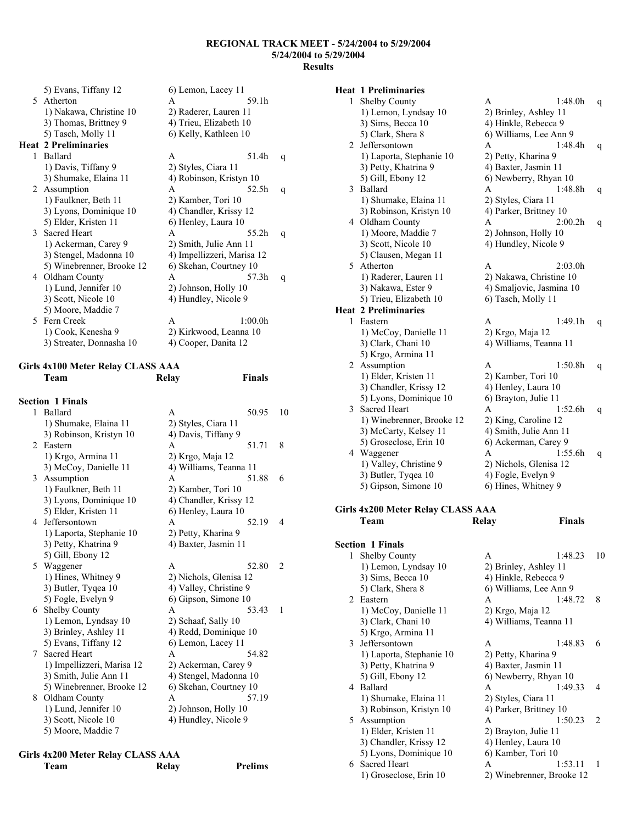| 5) Evans, Tiffany 12        | 6) Lemon, Lacey 11                                     |   |
|-----------------------------|--------------------------------------------------------|---|
| 5 Atherton                  | 59.1h<br>A                                             |   |
| 1) Nakawa, Christine 10     | 2) Raderer, Lauren 11                                  |   |
| 3) Thomas, Brittney 9       | 4) Trieu, Elizabeth 10                                 |   |
| 5) Tasch, Molly 11          | 6) Kelly, Kathleen 10                                  |   |
| <b>Heat 2 Preliminaries</b> |                                                        |   |
| Ballard                     | 51.4h<br>A                                             | q |
| 1) Davis, Tiffany 9         | 2) Styles, Ciara 11                                    |   |
| 3) Shumake, Elaina 11       | 4) Robinson, Kristyn 10                                |   |
| 2 Assumption                | 52.5h<br>A                                             | q |
| 1) Faulkner, Beth 11        | 2) Kamber, Tori 10                                     |   |
| 3) Lyons, Dominique 10      | 4) Chandler, Krissy 12                                 |   |
| 5) Elder, Kristen 11        | 6) Henley, Laura 10                                    |   |
| 3 Sacred Heart              | 55.2h<br>A                                             | q |
| 1) Ackerman, Carey 9        | 2) Smith, Julie Ann 11                                 |   |
| 3) Stengel, Madonna 10      | 4) Impellizzeri, Marisa 12                             |   |
| 5) Winebrenner, Brooke 12   | 6) Skehan, Courtney 10                                 |   |
| Oldham County               | 57.3h<br>A                                             | q |
| 1) Lund, Jennifer 10        | 2) Johnson, Holly 10                                   |   |
| 3) Scott, Nicole 10         | 4) Hundley, Nicole 9                                   |   |
|                             |                                                        |   |
|                             | 1:00.0h<br>A                                           |   |
|                             | 2) Kirkwood, Leanna 10                                 |   |
| 3) Streater, Donnasha 10    | 4) Cooper, Danita 12                                   |   |
|                             | 5) Moore, Maddie 7<br>Fern Creek<br>1) Cook, Kenesha 9 |   |

## **Girls 4x100 Meter Relay CLASS AAA**

|   | Team                       | Relay                  | <b>Finals</b> |    |
|---|----------------------------|------------------------|---------------|----|
|   | <b>Section 1 Finals</b>    |                        |               |    |
| 1 | Ballard                    | A                      | 50.95         | 10 |
|   | 1) Shumake, Elaina 11      | 2) Styles, Ciara 11    |               |    |
|   | 3) Robinson, Kristyn 10    | 4) Davis, Tiffany 9    |               |    |
| 2 | Eastern                    | A                      | 51.71         | 8  |
|   | 1) Krgo, Armina 11         | 2) Krgo, Maja 12       |               |    |
|   | 3) McCoy, Danielle 11      | 4) Williams, Teanna 11 |               |    |
| 3 | Assumption                 | A                      | 51.88         | 6  |
|   | 1) Faulkner, Beth 11       | 2) Kamber, Tori 10     |               |    |
|   | 3) Lyons, Dominique 10     | 4) Chandler, Krissy 12 |               |    |
|   | 5) Elder, Kristen 11       | 6) Henley, Laura 10    |               |    |
| 4 | Jeffersontown              | A                      | 52.19         | 4  |
|   | 1) Laporta, Stephanie 10   | 2) Petty, Kharina 9    |               |    |
|   | 3) Petty, Khatrina 9       | 4) Baxter, Jasmin 11   |               |    |
|   | 5) Gill, Ebony 12          |                        |               |    |
| 5 | Waggener                   | A                      | 52.80         | 2  |
|   | 1) Hines, Whitney 9        | 2) Nichols, Glenisa 12 |               |    |
|   | 3) Butler, Tyqea 10        | 4) Valley, Christine 9 |               |    |
|   | 5) Fogle, Evelyn 9         | 6) Gipson, Simone 10   |               |    |
| 6 | <b>Shelby County</b>       | A                      | 53.43         | 1  |
|   | 1) Lemon, Lyndsay 10       | 2) Schaaf, Sally 10    |               |    |
|   | 3) Brinley, Ashley 11      | 4) Redd, Dominique 10  |               |    |
|   | 5) Evans, Tiffany 12       | 6) Lemon, Lacey 11     |               |    |
| 7 | <b>Sacred Heart</b>        | A                      | 54.82         |    |
|   | 1) Impellizzeri, Marisa 12 | 2) Ackerman, Carey 9   |               |    |
|   | 3) Smith, Julie Ann 11     | 4) Stengel, Madonna 10 |               |    |
|   | 5) Winebrenner, Brooke 12  | 6) Skehan, Courtney 10 |               |    |
| 8 | Oldham County              | A                      | 57.19         |    |
|   | 1) Lund, Jennifer 10       | 2) Johnson, Holly 10   |               |    |
|   | 3) Scott, Nicole 10        | 4) Hundley, Nicole 9   |               |    |
|   | 5) Moore, Maddie 7         |                        |               |    |
|   |                            |                        |               |    |

| Girls 4x200 Meter Relay CLASS AAA |       |                |
|-----------------------------------|-------|----------------|
| Team                              | Relay | <b>Prelims</b> |

## **Heat 1 Preliminaries**

| 1 | <b>Shelby County</b>                          | 1:48.0h<br>A             | q  |
|---|-----------------------------------------------|--------------------------|----|
|   | 1) Lemon, Lyndsay 10                          | 2) Brinley, Ashley 11    |    |
|   | 3) Sims, Becca 10                             | 4) Hinkle, Rebecca 9     |    |
|   | 5) Clark, Shera 8                             | 6) Williams, Lee Ann 9   |    |
| 2 | Jeffersontown                                 | 1:48.4h<br>A             | q  |
|   | 1) Laporta, Stephanie 10                      | 2) Petty, Kharina 9      |    |
|   | 3) Petty, Khatrina 9                          | 4) Baxter, Jasmin 11     |    |
|   | 5) Gill, Ebony 12                             | 6) Newberry, Rhyan 10    |    |
| 3 | Ballard                                       | 1:48.8h<br>A             |    |
|   | 1) Shumake, Elaina 11                         | 2) Styles, Ciara 11      | q  |
|   | 3) Robinson, Kristyn 10                       | 4) Parker, Brittney 10   |    |
|   | 4 Oldham County                               | 2:00.2h<br>A             |    |
|   |                                               |                          | q  |
|   | 1) Moore, Maddie 7                            | 2) Johnson, Holly 10     |    |
|   | 3) Scott, Nicole 10                           | 4) Hundley, Nicole 9     |    |
|   | 5) Clausen, Megan 11                          |                          |    |
| 5 | Atherton                                      | 2:03.0h<br>A             |    |
|   | 1) Raderer, Lauren 11                         | 2) Nakawa, Christine 10  |    |
|   | 3) Nakawa, Ester 9                            | 4) Smaljovic, Jasmina 10 |    |
|   | 5) Trieu, Elizabeth 10                        | 6) Tasch, Molly 11       |    |
|   | <b>Heat 2 Preliminaries</b>                   |                          |    |
| 1 | Eastern                                       | A<br>1:49.1h             | q  |
|   | 1) McCoy, Danielle 11                         | 2) Krgo, Maja 12         |    |
|   | 3) Clark, Chani 10                            | 4) Williams, Teanna 11   |    |
|   | 5) Krgo, Armina 11                            |                          |    |
| 2 | Assumption                                    | A<br>1:50.8h             | q  |
|   | 1) Elder, Kristen 11                          | 2) Kamber, Tori 10       |    |
|   | 3) Chandler, Krissy 12                        | 4) Henley, Laura 10      |    |
|   | 5) Lyons, Dominique 10                        | 6) Brayton, Julie 11     |    |
| 3 | <b>Sacred Heart</b>                           | 1:52.6h<br>A             | q  |
|   | 1) Winebrenner, Brooke 12                     | 2) King, Caroline 12     |    |
|   | 3) McCarty, Kelsey 11                         | 4) Smith, Julie Ann 11   |    |
|   | 5) Groseclose, Erin 10                        | 6) Ackerman, Carey 9     |    |
|   | 4 Waggener                                    | 1:55.6h<br>A             | q  |
|   | 1) Valley, Christine 9                        | 2) Nichols, Glenisa 12   |    |
|   | 3) Butler, Tyqea 10                           | 4) Fogle, Evelyn 9       |    |
|   |                                               |                          |    |
|   |                                               |                          |    |
|   | 5) Gipson, Simone 10                          | 6) Hines, Whitney 9      |    |
|   |                                               |                          |    |
|   | <b>Girls 4x200 Meter Relay CLASS AAA</b>      |                          |    |
|   | Team                                          | <b>Finals</b><br>Relay   |    |
|   |                                               |                          |    |
|   | <b>Section 1 Finals</b>                       |                          |    |
| 1 | Shelby County                                 | A<br>1:48.23             | 10 |
|   | 1) Lemon, Lyndsay 10                          | 2) Brinley, Ashley 11    |    |
|   | 3) Sims, Becca 10                             | 4) Hinkle, Rebecca 9     |    |
|   | 5) Clark, Shera 8                             | 6) Williams, Lee Ann 9   |    |
| 2 | Eastern                                       | 1:48.72<br>A             | 8  |
|   | 1) McCoy, Danielle 11                         | 2) Krgo, Maja 12         |    |
|   | 3) Clark, Chani 10                            | 4) Williams, Teanna 11   |    |
|   | 5) Krgo, Armina 11                            |                          |    |
| 3 | Jeffersontown                                 | A<br>1:48.83             | 6  |
|   | 1) Laporta, Stephanie 10                      | 2) Petty, Kharina 9      |    |
|   | 3) Petty, Khatrina 9                          | 4) Baxter, Jasmin 11     |    |
|   | 5) Gill, Ebony 12                             | 6) Newberry, Rhyan 10    |    |
| 4 | Ballard                                       | 1:49.33<br>A             | 4  |
|   | 1) Shumake, Elaina 11                         | 2) Styles, Ciara 11      |    |
|   | 3) Robinson, Kristyn 10                       | 4) Parker, Brittney 10   |    |
| 5 | Assumption                                    | A<br>1:50.23             | 2  |
|   | 1) Elder, Kristen 11                          | 2) Brayton, Julie 11     |    |
|   |                                               | 4) Henley, Laura 10      |    |
|   | 3) Chandler, Krissy 12                        | 6) Kamber, Tori 10       |    |
| 6 | 5) Lyons, Dominique 10<br><b>Sacred Heart</b> | A<br>1:53.11             | 1  |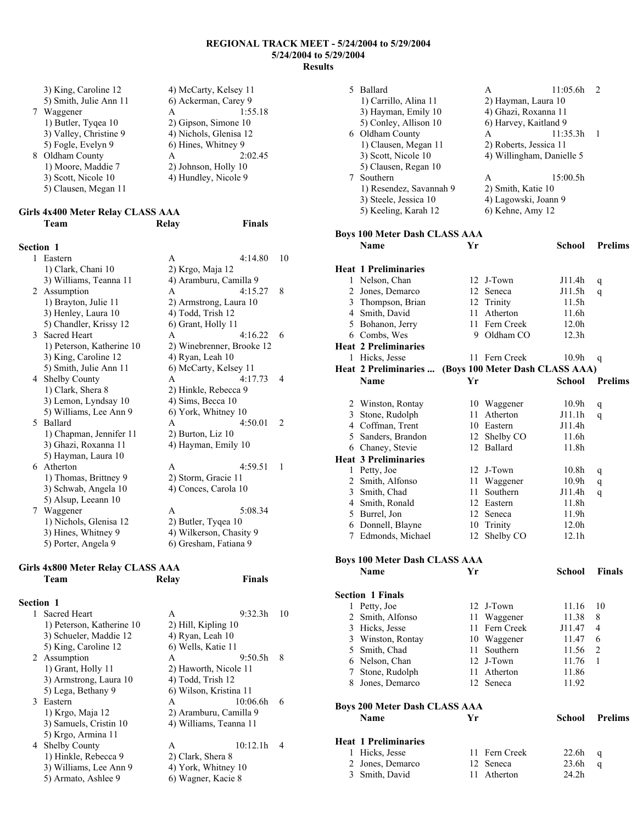**Finals** 

|   | 3) King, Caroline 12<br>5) Smith, Julie Ann 11<br>Waggener<br>1) Butler, Tyqea 10<br>3) Valley, Christine 9<br>5) Fogle, Evelyn 9 | 4) McCarty, Kelsey 11<br>6) Ackerman, Carey 9<br>A<br>2) Gipson, Simone 10<br>4) Nichols, Glenisa 12<br>6) Hines, Whitney 9 | 1:55.18 |
|---|-----------------------------------------------------------------------------------------------------------------------------------|-----------------------------------------------------------------------------------------------------------------------------|---------|
| 8 | Oldham County<br>1) Moore, Maddie 7<br>3) Scott, Nicole 10<br>5) Clausen, Megan 11                                                | A<br>2) Johnson, Holly 10<br>4) Hundley, Nicole 9                                                                           | 2:02.45 |

# **Girls 4x400 Meter Relay CLASS AAA**

## **Section 1**

| 1 | Eastern                   | A                         | 4:14.80 | 10             |
|---|---------------------------|---------------------------|---------|----------------|
|   | 1) Clark, Chani 10        | 2) Krgo, Maja 12          |         |                |
|   | 3) Williams, Teanna 11    | 4) Aramburu, Camilla 9    |         |                |
|   | 2 Assumption              | A                         | 4:15.27 | 8              |
|   | 1) Brayton, Julie 11      | 2) Armstrong, Laura 10    |         |                |
|   | 3) Henley, Laura 10       | 4) Todd, Trish 12         |         |                |
|   | 5) Chandler, Krissy 12    | 6) Grant, Holly 11        |         |                |
|   | 3 Sacred Heart            | $\mathsf{A}$              | 4.1622  | 6              |
|   | 1) Peterson, Katherine 10 | 2) Winebrenner, Brooke 12 |         |                |
|   | 3) King, Caroline 12      | 4) Ryan, Leah 10          |         |                |
|   | 5) Smith, Julie Ann 11    | 6) McCarty, Kelsey 11     |         |                |
|   | 4 Shelby County           | A                         | 4:17.73 | $\overline{4}$ |
|   | 1) Clark, Shera 8         | 2) Hinkle, Rebecca 9      |         |                |
|   | 3) Lemon, Lyndsay 10      | 4) Sims, Becca 10         |         |                |
|   | 5) Williams, Lee Ann 9    | 6) York, Whitney 10       |         |                |
|   | 5 Ballard                 | A                         | 4:50.01 | $\mathcal{L}$  |
|   | 1) Chapman, Jennifer 11   | 2) Burton, Liz 10         |         |                |
|   | 3) Ghazi, Roxanna 11      | 4) Hayman, Emily 10       |         |                |
|   | 5) Hayman, Laura 10       |                           |         |                |
|   | 6 Atherton                | A                         | 4:59.51 | 1              |
|   | 1) Thomas, Brittney 9     | 2) Storm, Gracie 11       |         |                |
|   | 3) Schwab, Angela 10      | 4) Conces, Carola 10      |         |                |
|   | 5) Alsup, Leeann 10       |                           |         |                |
|   | 7 Waggener                | A                         | 5:08.34 |                |
|   | 1) Nichols, Glenisa 12    | 2) Butler, Tyqea 10       |         |                |
|   | 3) Hines, Whitney 9       | 4) Wilkerson, Chasity 9   |         |                |
|   | 5) Porter, Angela 9       | 6) Gresham, Fatiana 9     |         |                |

## **Girls 4x800 Meter Relay CLASS AAA Team Relay Finals**

## **Section 1**

| <b>Sacred Heart</b>       | A                      | 9:32.3h  | 10 |
|---------------------------|------------------------|----------|----|
| 1) Peterson, Katherine 10 | 2) Hill, Kipling 10    |          |    |
| 3) Schueler, Maddie 12    | 4) Ryan, Leah 10       |          |    |
| 5) King, Caroline 12      | 6) Wells, Katie 11     |          |    |
| 2 Assumption              | A                      | 9:50.5h  | 8  |
| 1) Grant, Holly 11        | 2) Haworth, Nicole 11  |          |    |
| 3) Armstrong, Laura 10    | 4) Todd, Trish 12      |          |    |
| 5) Lega, Bethany 9        | 6) Wilson, Kristina 11 |          |    |
| 3 Eastern                 | A                      | 10:06.6h | 6  |
| 1) Krgo, Maja 12          | 2) Aramburu, Camilla 9 |          |    |
| 3) Samuels, Cristin 10    | 4) Williams, Teanna 11 |          |    |
| 5) Krgo, Armina 11        |                        |          |    |
| 4 Shelby County           | A                      | 10:12.1h |    |
| 1) Hinkle, Rebecca 9      | 2) Clark, Shera 8      |          |    |
| 3) Williams, Lee Ann 9    | 4) York, Whitney 10    |          |    |
| 5) Armato, Ashlee 9       | 6) Wagner, Kacie 8     |          |    |

| 5 | Ballard                                      |      | A                               | 11:05.6h          | 2              |
|---|----------------------------------------------|------|---------------------------------|-------------------|----------------|
|   | 1) Carrillo, Alina 11                        |      | 2) Hayman, Laura 10             |                   |                |
|   | 3) Hayman, Emily 10                          |      | 4) Ghazi, Roxanna 11            |                   |                |
|   | 5) Conley, Allison 10                        |      | 6) Harvey, Kaitland 9           |                   |                |
|   | 6 Oldham County                              |      | A                               | 11:35.3h          | 1              |
|   | 1) Clausen, Megan 11                         |      | 2) Roberts, Jessica 11          |                   |                |
|   | 3) Scott, Nicole 10                          |      | 4) Willingham, Danielle 5       |                   |                |
|   | 5) Clausen, Regan 10                         |      |                                 |                   |                |
|   | 7 Southern                                   |      | A                               | 15:00.5h          |                |
|   | 1) Resendez, Savannah 9                      |      | 2) Smith, Katie 10              |                   |                |
|   | 3) Steele, Jessica 10                        |      | 4) Lagowski, Joann 9            |                   |                |
|   | 5) Keeling, Karah 12                         |      | 6) Kehne, Amy 12                |                   |                |
|   |                                              |      |                                 |                   |                |
|   | Boys 100 Meter Dash CLASS AAA<br><b>Name</b> |      |                                 |                   |                |
|   |                                              | Yr   |                                 | School            | <b>Prelims</b> |
|   | <b>Heat 1 Preliminaries</b>                  |      |                                 |                   |                |
|   | 1 Nelson, Chan                               |      | 12 J-Town                       | J11.4h            | q              |
|   | 2 Jones, Demarco                             | 12   | Seneca                          | J11.5h            | q              |
|   | 3 Thompson, Brian                            |      | 12 Trinity                      | 11.5h             |                |
|   | 4 Smith, David                               | 11   | Atherton                        | 11.6h             |                |
|   | 5 Bohanon, Jerry                             |      | 11 Fern Creek                   | 12.0h             |                |
|   | 6 Combs, Wes                                 |      | 9 Oldham CO                     | 12.3h             |                |
|   | <b>Heat 2 Preliminaries</b>                  |      |                                 |                   |                |
|   | 1 Hicks, Jesse                               |      | 11 Fern Creek                   | 10.9h             | q              |
|   | Heat 2 Preliminaries                         |      | (Boys 100 Meter Dash CLASS AAA) |                   |                |
|   | Name                                         | Yr   |                                 | <b>School</b>     | <b>Prelims</b> |
|   |                                              |      |                                 |                   |                |
|   | 2 Winston, Rontay                            |      | 10 Waggener                     | 10.9 <sub>h</sub> | q              |
| 3 | Stone, Rudolph                               |      | 11 Atherton                     | J11.1h            | q              |
|   | 4 Coffman, Trent                             |      | 10 Eastern                      | J11.4h            |                |
|   | 5 Sanders, Brandon                           | 12   | Shelby CO                       | 11.6h             |                |
|   | 6 Chaney, Stevie                             |      | 12 Ballard                      | 11.8h             |                |
|   | <b>Heat 3 Preliminaries</b>                  |      |                                 |                   |                |
|   | 1 Petty, Joe                                 |      | 12 J-Town                       | 10.8 <sub>h</sub> | q              |
| 2 | Smith, Alfonso                               |      | 11 Waggener                     | 10.9 <sub>h</sub> | q              |
|   | 3 Smith, Chad                                |      | 11 Southern                     | J11.4h            | q              |
|   | 4 Smith, Ronald                              |      | 12 Eastern                      | 11.8h             |                |
| 5 | Burrel, Jon                                  | 12   | Seneca                          | 11.9h             |                |
| 6 | Donnell, Blayne                              | 10   | Trinity                         | 12.0 <sub>h</sub> |                |
| 7 | Edmonds, Michael                             | 12   | Shelby CO                       | 12.1h             |                |
|   |                                              |      |                                 |                   |                |
|   | <b>Boys 100 Meter Dash CLASS AAA</b>         |      |                                 |                   |                |
|   | Name                                         | Yr   |                                 | School            | <b>Finals</b>  |
|   | <b>Section 1 Finals</b>                      |      |                                 |                   |                |
| 1 | Petty, Joe                                   |      | 12 J-Town                       | 11.16             | 10             |
| 2 | Smith, Alfonso                               |      | 11 Waggener                     | 11.38             | 8              |
|   | 3 Hicks, Jesse                               | 11   | Fern Creek                      | J11.47            | 4              |
|   | 3 Winston, Rontay                            |      | 10 Waggener                     | 11.47             | 6              |
| 5 | Smith, Chad                                  | 11 - | Southern                        | 11.56             | 2              |
|   | 6 Nelson, Chan                               |      | 12 J-Town                       | 11.76             | 1              |
|   | 7 Stone, Rudolph                             |      | 11 Atherton                     | 11.86             |                |
|   | 8 Jones, Demarco                             |      | 12 Seneca                       | 11.92             |                |
|   |                                              |      |                                 |                   |                |
|   | <b>Boys 200 Meter Dash CLASS AAA</b>         |      |                                 |                   |                |
|   | Name                                         | Yr   |                                 | <b>School</b>     | <b>Prelims</b> |
|   | <b>Heat 1 Preliminaries</b>                  |      |                                 |                   |                |
| 1 | Hicks, Jesse                                 |      | 11 Fern Creek                   | 22.6h             |                |
| 2 | Jones, Demarco                               | 12   | Seneca                          | 23.6h             | q<br>q         |
| 3 | Smith, David                                 | 11   | Atherton                        | 24.2 <sub>h</sub> |                |
|   |                                              |      |                                 |                   |                |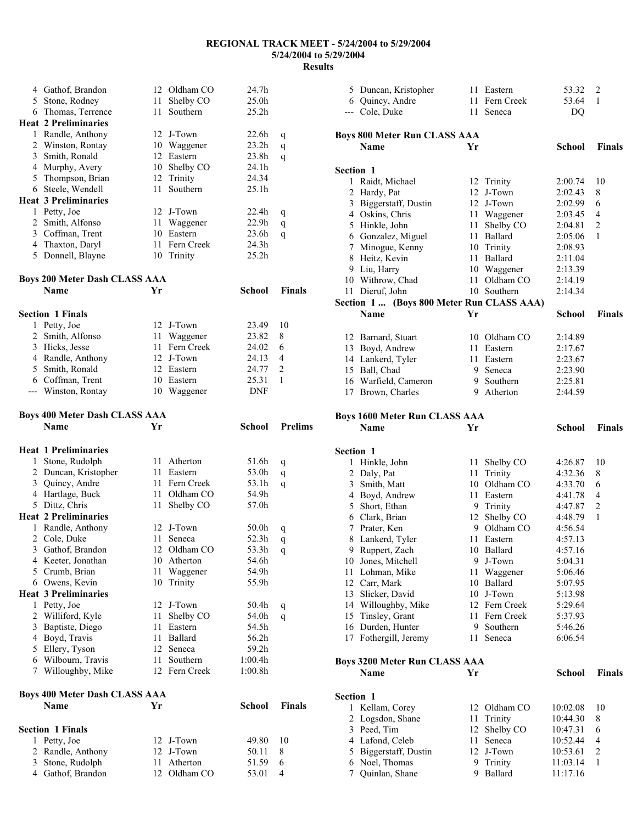|              | 4 Gathof, Brandon                     |      | 12 Oldham CO             | 24.7h             |                |
|--------------|---------------------------------------|------|--------------------------|-------------------|----------------|
|              | 5 Stone, Rodney                       | 11   | Shelby CO                | 25.0 <sub>h</sub> |                |
|              | 6 Thomas, Terrence                    | 11   | Southern                 | 25.2h             |                |
|              | <b>Heat 2 Preliminaries</b>           |      |                          |                   |                |
|              | 1 Randle, Anthony                     |      | 12 J-Town                | 22.6h             | q              |
|              | 2 Winston, Rontay                     |      | 10 Waggener              | 23.2 <sub>h</sub> | q              |
|              | 3 Smith, Ronald                       |      | 12 Eastern               | 23.8h             | q              |
|              | 4 Murphy, Avery                       | 10   | Shelby CO                | 24.1h             |                |
|              | 5 Thompson, Brian                     | 12   | Trinity                  | 24.34             |                |
|              | 6 Steele, Wendell                     | 11   | Southern                 | 25.1h             |                |
|              | <b>Heat 3 Preliminaries</b>           |      |                          |                   |                |
|              | 1 Petty, Joe                          |      | 12 J-Town                | 22.4 <sub>h</sub> |                |
|              | 2 Smith, Alfonso                      | 11   | Waggener                 | 22.9 <sub>h</sub> | q<br>q         |
|              | 3 Coffman, Trent                      |      | 10 Eastern               | 23.6h             |                |
|              | 4 Thaxton, Daryl                      |      | 11 Fern Creek            | 24.3h             | q              |
|              | 5 Donnell, Blayne                     |      | 10 Trinity               | 25.2 <sub>h</sub> |                |
|              |                                       |      |                          |                   |                |
|              |                                       |      |                          |                   |                |
|              | <b>Boys 200 Meter Dash CLASS AAA</b>  |      |                          |                   |                |
|              | <b>Name</b>                           | Yr   |                          | School            | Finals         |
|              |                                       |      |                          |                   |                |
|              | <b>Section 1 Finals</b>               |      |                          |                   |                |
|              | 1 Petty, Joe                          |      | 12 J-Town                | 23.49             | 10             |
|              | 2 Smith, Alfonso                      |      | 11 Waggener              | 23.82             | 8              |
|              | 3 Hicks, Jesse                        |      | 11 Fern Creek            | 24.02             | 6              |
|              | 4 Randle, Anthony                     |      | 12 J-Town                | 24.13             | 4              |
|              | 5 Smith, Ronald                       |      | 12 Eastern               | 24.77             | 2              |
|              | 6 Coffman, Trent                      |      | 10 Eastern               | 25.31             | 1              |
|              | --- Winston, Rontay                   |      | 10 Waggener              | <b>DNF</b>        |                |
|              |                                       |      |                          |                   |                |
|              | <b>Boys 400 Meter Dash CLASS AAA</b>  |      |                          |                   |                |
|              | <b>Name</b>                           | Yr   |                          | School            | <b>Prelims</b> |
|              |                                       |      |                          |                   |                |
|              |                                       |      |                          |                   |                |
|              |                                       |      |                          |                   |                |
|              | <b>Heat 1 Preliminaries</b>           |      |                          |                   |                |
|              | 1 Stone, Rudolph                      | 11   | Atherton                 | 51.6h             | q              |
|              | 2 Duncan, Kristopher                  | 11   | Eastern                  | 53.0h             | q              |
|              | 3 Quincy, Andre                       |      | 11 Fern Creek            | 53.1h             | q              |
|              | 4 Hartlage, Buck                      | 11 - | Oldham CO                | 54.9h             |                |
|              | 5 Dittz, Chris                        | 11   | Shelby CO                | 57.0h             |                |
|              | <b>Heat 2 Preliminaries</b>           |      |                          |                   |                |
| $\mathbf{1}$ | Randle, Anthony                       |      | 12 J-Town                | 50.0h             | q              |
|              | 2 Cole, Duke                          | 11   | Seneca                   | 52.3h             | q              |
|              | 3 Gathof, Brandon                     |      | 12 Oldham CO             | 53.3h             | $\mathbf q$    |
|              | 4 Keeter, Jonathan                    |      | 10 Atherton              | 54.6h             |                |
|              | 5 Crumb, Brian                        | 11   | Waggener                 | 54.9h             |                |
|              | 6 Owens, Kevin                        | 10   | Trinity                  | 55.9h             |                |
|              | <b>Heat 3 Preliminaries</b>           |      |                          |                   |                |
|              | 1 Petty, Joe                          | 12   | J-Town                   | 50.4h             | q              |
|              | 2 Williford, Kyle                     | 11   | Shelby CO                | 54.0h             | q              |
|              | 3 Baptiste, Diego                     | 11   | Eastern                  | 54.5h             |                |
|              | 4 Boyd, Travis                        | 11   | Ballard                  | 56.2h             |                |
|              | 5 Ellery, Tyson                       |      | 12 Seneca                | 59.2h             |                |
|              | 6 Wilbourn, Travis                    | 11   | Southern                 | 1:00.4h           |                |
|              | 7 Willoughby, Mike                    |      | 12 Fern Creek            | 1:00.8h           |                |
|              |                                       |      |                          |                   |                |
|              | <b>Boys 400 Meter Dash CLASS AAA</b>  |      |                          |                   |                |
|              | <b>Name</b>                           | Yr   |                          | <b>School</b>     | <b>Finals</b>  |
|              |                                       |      |                          |                   |                |
|              |                                       |      |                          |                   |                |
|              | <b>Section 1 Finals</b>               |      |                          |                   |                |
|              | 1 Petty, Joe                          |      | 12 J-Town                | 49.80             | 10             |
|              | 2 Randle, Anthony<br>3 Stone, Rudolph |      | 12 J-Town<br>11 Atherton | 50.11<br>51.59    | 8<br>6         |

Gathof, Brandon 12 Oldham CO 53.01 4

| 5 Duncan, Kristopher                      |      | 11 Eastern           | 53.32                | 2              |
|-------------------------------------------|------|----------------------|----------------------|----------------|
| 6 Quincy, Andre                           |      | 11 Fern Creek        | 53.64                | 1              |
| --- Cole, Duke                            | 11 - | Seneca               | DQ                   |                |
|                                           |      |                      |                      |                |
| <b>Boys 800 Meter Run CLASS AAA</b>       |      |                      |                      |                |
| Name                                      | Yr   |                      | <b>School</b>        | <b>Finals</b>  |
|                                           |      |                      |                      |                |
| Section 1                                 |      |                      |                      |                |
| 1 Raidt, Michael                          |      | 12 Trinity           | 2:00.74              | 10             |
| 2 Hardy, Pat                              | 12   | J-Town               | 2:02.43              | 8              |
| 3 Biggerstaff, Dustin                     |      | 12 J-Town            | 2:02.99              | 6              |
| 4 Oskins, Chris                           |      | 11 Waggener          | 2:03.45              | 4              |
| 5 Hinkle, John                            | 11 - | Shelby CO            | 2:04.81              | $\overline{2}$ |
| 6 Gonzalez, Miguel                        |      | 11 Ballard           | 2:05.06              | 1              |
| 7 Minogue, Kenny                          |      | 10 Trinity           | 2:08.93              |                |
| 8 Heitz, Kevin                            |      | 11 Ballard           | 2:11.04              |                |
| 9 Liu, Harry                              |      | 10 Waggener          | 2:13.39              |                |
| 10 Withrow, Chad                          | 11   | Oldham CO            | 2:14.19              |                |
| 11 Dieruf, John                           |      | 10 Southern          | 2:14.34              |                |
| Section 1  (Boys 800 Meter Run CLASS AAA) |      |                      |                      |                |
| Name                                      | Yr   |                      | <b>School</b>        | <b>Finals</b>  |
|                                           |      |                      |                      |                |
| 12 Barnard, Stuart                        |      | 10 Oldham CO         | 2:14.89              |                |
| 13 Boyd, Andrew                           |      | 11 Eastern           | 2:17.67              |                |
| 14 Lankerd, Tyler                         |      | 11 Eastern           | 2:23.67              |                |
| 15 Ball, Chad                             |      | 9 Seneca             | 2:23.90              |                |
| 16 Warfield, Cameron                      |      | 9 Southern           | 2:25.81              |                |
| 17 Brown, Charles                         |      | 9 Atherton           | 2:44.59              |                |
|                                           |      |                      |                      |                |
| <b>Boys 1600 Meter Run CLASS AAA</b>      |      |                      |                      |                |
|                                           |      |                      |                      |                |
| Name                                      | Yr   |                      | School               | <b>Finals</b>  |
|                                           |      |                      |                      |                |
| Section 1                                 |      |                      |                      |                |
| 1 Hinkle, John                            | 11   | Shelby CO            | 4:26.87              | 10             |
| 2 Daly, Pat                               |      | 11 Trinity           | 4:32.36              | 8              |
| 3 Smith, Matt                             |      | 10 Oldham CO         | 4:33.70              | 6              |
| 4 Boyd, Andrew                            |      | 11 Eastern           | 4:41.78              | 4              |
| 5 Short, Ethan                            |      | 9 Trinity            | 4:47.87              | $\overline{2}$ |
| 6 Clark, Brian                            |      | 12 Shelby CO         | 4:48.79              | 1              |
| 7 Prater, Ken                             |      | 9 Oldham CO          | 4:56.54              |                |
| 8 Lankerd, Tyler                          | 11   | Eastern              | 4:57.13              |                |
| 9 Ruppert, Zach                           |      | 10 Ballard           | 4:57.16              |                |
| 10 Jones, Mitchell                        | 9.   | J-Town               | 5:04.31              |                |
| 11 Lohman, Mike                           | 11   | Waggener             | 5:06.46              |                |
| 12 Carr, Mark                             |      | 10 Ballard           | 5:07.95              |                |
| 13 Slicker, David                         |      | 10 J-Town            | 5:13.98              |                |
| 14 Willoughby, Mike                       |      | 12 Fern Creek        | 5:29.64              |                |
| 15 Tinsley, Grant                         |      | 11 Fern Creek        | 5:37.93              |                |
| 16 Durden, Hunter                         | 9    | Southern             | 5:46.26              |                |
| 17 Fothergill, Jeremy                     | 11   | Seneca               | 6:06.54              |                |
|                                           |      |                      |                      |                |
| <b>Boys 3200 Meter Run CLASS AAA</b>      |      |                      |                      |                |
| Name                                      | Yr   |                      | School               | Finals         |
|                                           |      |                      |                      |                |
| Section 1                                 |      |                      |                      |                |
| 1 Kellam, Corey                           | 12   | Oldham CO            | 10:02.08             | 10             |
| 2 Logsdon, Shane                          | 11   | Trinity              | 10:44.30             | 8              |
| 3 Peed, Tim                               | 12   | Shelby CO            | 10:47.31             | 6              |
| 4 Lafond, Celeb                           | 11   | Seneca               | 10:52.44             | 4              |
| 5 Biggerstaff, Dustin                     |      | 12 J-Town            | 10:53.61             | 2              |
| 6 Noel, Thomas<br>7 Quinlan, Shane        | 9    | Trinity<br>9 Ballard | 11:03.14<br>11:17.16 | 1              |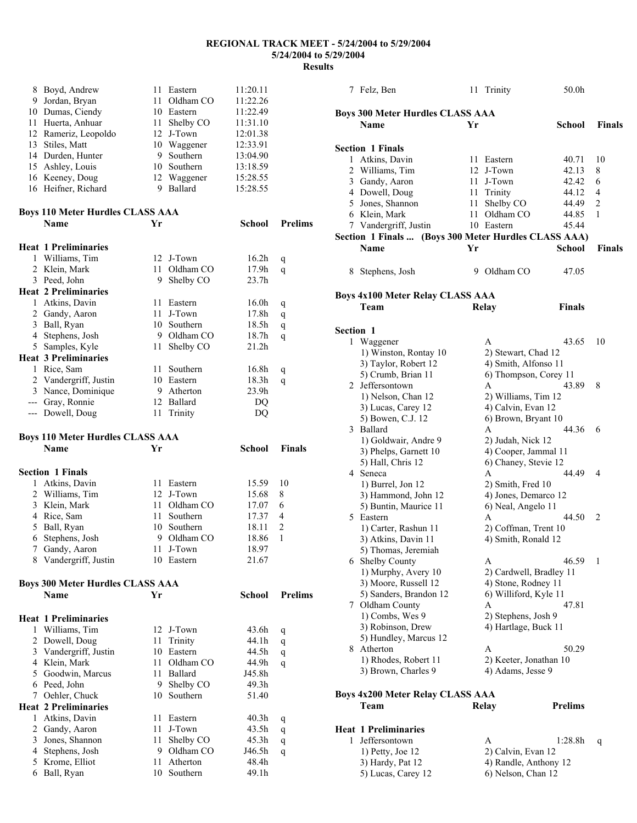|                | 8 Boyd, Andrew                          | 11 -     | Eastern              | 11:20.11          |                |
|----------------|-----------------------------------------|----------|----------------------|-------------------|----------------|
| 9.             | Jordan, Bryan                           | 11.      | Oldham CO            | 11:22.26          |                |
|                | 10 Dumas, Ciendy                        |          | 10 Eastern           | 11:22.49          |                |
|                | 11 Huerta, Anhuar                       |          | 11 Shelby CO         | 11:31.10          |                |
|                | 12 Rameriz, Leopoldo                    |          | 12 J-Town            | 12:01.38          |                |
|                | 13 Stiles, Matt                         |          | 10 Waggener          | 12:33.91          |                |
|                | 14 Durden, Hunter                       |          | 9 Southern           | 13:04.90          |                |
|                | 15 Ashley, Louis                        |          | 10 Southern          | 13:18.59          |                |
|                | 16 Keeney, Doug                         |          | 12 Waggener          | 15:28.55          |                |
|                | 16 Heifner, Richard                     |          | 9 Ballard            | 15:28.55          |                |
|                | <b>Boys 110 Meter Hurdles CLASS AAA</b> |          |                      |                   |                |
|                | <b>Name</b>                             | Yr       |                      | School            | <b>Prelims</b> |
|                | <b>Heat 1 Preliminaries</b>             |          |                      |                   |                |
| 1              | Williams, Tim                           |          | 12 J-Town            | 16.2 <sub>h</sub> | q              |
|                | 2 Klein, Mark                           | 11       | Oldham CO            | 17.9h             | q              |
|                | 3 Peed, John                            | 9.       | Shelby CO            | 23.7 <sub>h</sub> |                |
|                | <b>Heat 2 Preliminaries</b>             |          |                      |                   |                |
|                | 1 Atkins, Davin                         |          | 11 Eastern           | 16.0h             | q              |
|                | 2 Gandy, Aaron                          | 11       | J-Town               | 17.8h             | q              |
| 3              | Ball, Ryan                              |          | 10 Southern          | 18.5h             | q              |
|                | 4 Stephens, Josh                        |          | 9 Oldham CO          | 18.7h             | q              |
|                | 5 Samples, Kyle                         | 11       | Shelby CO            | 21.2h             |                |
|                | <b>Heat 3 Preliminaries</b>             |          |                      |                   |                |
|                | 1 Rice, Sam                             | 11       | Southern             | 16.8h             | q              |
|                | 2 Vandergriff, Justin                   |          | 10 Eastern           | 18.3h             | q              |
|                | 3 Nance, Dominique                      |          | 9 Atherton           | 23.9h             |                |
|                | --- Gray, Ronnie                        |          | 12 Ballard           | DQ                |                |
|                | --- Dowell, Doug                        | 11       | Trinity              | DQ                |                |
|                | <b>Boys 110 Meter Hurdles CLASS AAA</b> |          |                      |                   |                |
|                | <b>Name</b>                             | Yr       |                      | School            | <b>Finals</b>  |
|                | <b>Section 1 Finals</b>                 |          |                      |                   |                |
|                |                                         |          | 11 Eastern           | 15.59             | 10             |
| 1              | Atkins, Davin                           |          |                      |                   |                |
|                | 2 Williams, Tim                         |          | 12 J-Town            | 15.68             | 8              |
|                | 3 Klein, Mark                           |          | 11 Oldham CO         | 17.07             | 6              |
|                | 4 Rice, Sam                             | 11 -     | Southern             | 17.37             | 4              |
| 5              | Ball, Ryan                              |          | 10 Southern          | 18.11             | $\overline{c}$ |
| 6              | Stephens, Josh                          | 9.       | Oldham CO            | 18.86             | 1              |
| 7.             | Gandy, Aaron                            |          | 11 J-Town            | 18.97             |                |
|                | 8 Vandergriff, Justin                   |          | 10 Eastern           | 21.67             |                |
|                | <b>Boys 300 Meter Hurdles CLASS AAA</b> |          |                      |                   |                |
|                | <b>Name</b>                             | Yr       |                      | <b>School</b>     | <b>Prelims</b> |
|                | <b>Heat 1 Preliminaries</b>             |          |                      |                   |                |
| 1              | Williams, Tim                           |          | 12 J-Town            | 43.6h             | q              |
| $\overline{2}$ | Dowell, Doug                            | 11       | Trinity              | 44.1h             | q              |
| $\mathfrak{Z}$ | Vandergriff, Justin                     |          | 10 Eastern           | 44.5h             | q              |
|                | 4 Klein, Mark                           | 11       | Oldham CO            | 44.9h             | q              |
|                | 5 Goodwin, Marcus                       | 11       | Ballard              | J45.8h            |                |
|                | 6 Peed, John                            | 9        | Shelby CO            | 49.3h             |                |
|                | 7 Oehler, Chuck                         | 10       | Southern             | 51.40             |                |
|                | <b>Heat 2 Preliminaries</b>             |          |                      |                   |                |
| 1              | Atkins, Davin                           | 11       | Eastern              | 40.3 <sub>h</sub> | q              |
|                | 2 Gandy, Aaron                          | 11       | J-Town               | 43.5h             | q              |
| 3              | Jones, Shannon                          | 11       | Shelby CO            | 45.3h             | q              |
| 4              | Stephens, Josh                          | 9.       | Oldham CO            | J46.5h            | q              |
| 5<br>6         | Krome, Elliot<br>Ball, Ryan             | 11<br>10 | Atherton<br>Southern | 48.4h<br>49.1h    |                |

|                  | 7 Felz, Ben                                          |    | 11 Trinity              | 50.0h          |               |
|------------------|------------------------------------------------------|----|-------------------------|----------------|---------------|
|                  |                                                      |    |                         |                |               |
|                  | <b>Boys 300 Meter Hurdles CLASS AAA</b>              |    |                         |                |               |
|                  | Name                                                 | Yr |                         | School         | <b>Finals</b> |
|                  |                                                      |    |                         |                |               |
|                  | <b>Section 1 Finals</b>                              |    |                         |                |               |
|                  | 1 Atkins, Davin                                      |    | 11 Eastern              | 40.71          | 10            |
|                  | 2 Williams, Tim                                      |    | 12 J-Town               | 42.13          | 8             |
|                  | 3 Gandy, Aaron                                       |    | 11 J-Town               | 42.42          | 6             |
|                  | 4 Dowell, Doug                                       |    | 11 Trinity              | 44.12          | 4             |
|                  | 5 Jones, Shannon                                     | 11 | Shelby CO               | 44.49          | 2             |
|                  | 6 Klein, Mark                                        | 11 | Oldham CO               | 44.85          | 1             |
|                  | 7 Vandergriff, Justin                                |    | 10 Eastern              | 45.44          |               |
|                  | Section 1 Finals  (Boys 300 Meter Hurdles CLASS AAA) |    |                         |                |               |
|                  | Name                                                 | Yr |                         | <b>School</b>  | <b>Finals</b> |
|                  |                                                      |    |                         |                |               |
|                  |                                                      |    |                         |                |               |
|                  | 8 Stephens, Josh                                     | 9. | Oldham CO               | 47.05          |               |
|                  |                                                      |    |                         |                |               |
|                  | <b>Boys 4x100 Meter Relay CLASS AAA</b>              |    |                         |                |               |
|                  | Team                                                 |    | Relay                   | <b>Finals</b>  |               |
|                  |                                                      |    |                         |                |               |
| <b>Section 1</b> |                                                      |    |                         |                |               |
|                  | 1 Waggener                                           |    | A                       | 43.65          | 10            |
|                  | 1) Winston, Rontay 10                                |    | 2) Stewart, Chad 12     |                |               |
|                  | 3) Taylor, Robert 12                                 |    | 4) Smith, Alfonso 11    |                |               |
|                  | 5) Crumb, Brian 11                                   |    | 6) Thompson, Corey 11   |                |               |
|                  | 2 Jeffersontown                                      |    | A                       | 43.89          | 8             |
|                  | 1) Nelson, Chan 12                                   |    | 2) Williams, Tim 12     |                |               |
|                  | 3) Lucas, Carey 12                                   |    | 4) Calvin, Evan 12      |                |               |
|                  | 5) Bowen, C.J. 12                                    |    | 6) Brown, Bryant 10     |                |               |
|                  | 3 Ballard                                            |    | A                       | 44.36          | 6             |
|                  | 1) Goldwair, Andre 9                                 |    | 2) Judah, Nick 12       |                |               |
|                  | 3) Phelps, Garnett 10                                |    | 4) Cooper, Jammal 11    |                |               |
|                  | 5) Hall, Chris 12                                    |    | 6) Chaney, Stevie 12    |                |               |
|                  | 4 Seneca                                             |    | A                       | 44.49          | 4             |
|                  | 1) Burrel, Jon 12                                    |    | 2) Smith, Fred 10       |                |               |
|                  | 3) Hammond, John 12                                  |    | 4) Jones, Demarco 12    |                |               |
|                  | 5) Buntin, Maurice 11                                |    | 6) Neal, Angelo 11      |                |               |
|                  | 5 Eastern                                            |    | A                       | 44.50          | 2             |
|                  | 1) Carter, Rashun 11                                 |    | 2) Coffman, Trent 10    |                |               |
|                  | 3) Atkins, Davin 11                                  |    | 4) Smith, Ronald 12     |                |               |
|                  | 5) Thomas, Jeremiah                                  |    |                         |                |               |
|                  | 6 Shelby County                                      |    | A                       | 46.59          | 1             |
|                  | 1) Murphy, Avery 10                                  |    | 2) Cardwell, Bradley 11 |                |               |
|                  | 3) Moore, Russell 12                                 |    | 4) Stone, Rodney 11     |                |               |
|                  | 5) Sanders, Brandon 12                               |    | 6) Williford, Kyle 11   |                |               |
|                  | 7 Oldham County                                      |    | A                       | 47.81          |               |
|                  | 1) Combs, Wes 9                                      |    | 2) Stephens, Josh 9     |                |               |
|                  | 3) Robinson, Drew                                    |    | 4) Hartlage, Buck 11    |                |               |
|                  | 5) Hundley, Marcus 12                                |    |                         |                |               |
|                  | 8 Atherton                                           |    | A                       | 50.29          |               |
|                  | 1) Rhodes, Robert 11                                 |    | 2) Keeter, Jonathan 10  |                |               |
|                  | 3) Brown, Charles 9                                  |    | 4) Adams, Jesse 9       |                |               |
|                  |                                                      |    |                         |                |               |
|                  |                                                      |    |                         |                |               |
|                  | Boys 4x200 Meter Relay CLASS AAA                     |    |                         |                |               |
|                  | Team                                                 |    | Relay                   | <b>Prelims</b> |               |
|                  |                                                      |    |                         |                |               |
|                  | <b>Heat 1 Preliminaries</b>                          |    |                         |                |               |
| 1                | Jeffersontown                                        |    | A                       | 1:28.8h        | q             |
|                  | 1) Petty, Joe 12                                     |    | 2) Calvin, Evan 12      |                |               |
|                  | 3) Hardy, Pat 12                                     |    | 4) Randle, Anthony 12   |                |               |

5) Lucas, Carey 12 6) Nelson, Chan 12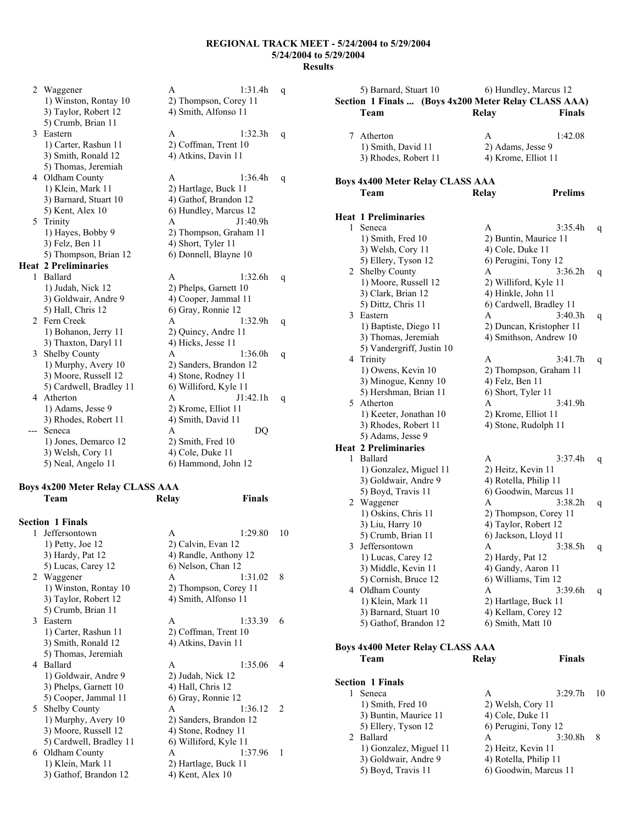2 Waggener A 1:31.4h q 1) Winston, Rontay 10 2) Thompson, Corey 11<br>3) Taylor, Robert 12 4) Smith, Alfonso 11 4) Smith, Alfonso 11 5) Crumb, Brian 11 3 Eastern A 1:32.3h q 1) Carter, Rashun 11 2) Coffman, Trent 10 3) Smith, Ronald 12 4) Atkins, Davin 11 5) Thomas, Jeremiah 4 Oldham County A 1:36.4h q<br>1) Klein, Mark 11 2) Hartlage, Buck 11 1) Klein, Mark 11 2) Hartlage, Buck 11<br>3) Barnard, Stuart 10 4) Gathof, Brandon 1 4) Gathof, Brandon 12 5) Kent, Alex 10 6) Hundley, Marcus 12 5 Trinity A J1:40.9h 1) Hayes, Bobby 9 2) Thompson, Graham 11  $3)$  Felz, Ben 11  $\qquad \qquad$  4) Short, Tyler 11 5) Thompson, Brian 12 6) Donnell, Blayne 10 **Heat 2 Preliminaries**  1 Ballard A 1:32.6h q 1) Judah, Nick 12 2) Phelps, Garnett 10 3) Goldwair, Andre 9 4) Cooper, Jammal 11 5) Hall, Chris 12 6) Gray, Ronnie 12 2 Fern Creek A 1:32.9h q 1) Bohanon, Jerry 11 2) Quincy, Andre 11 3) Thaxton, Daryl 11 4) Hicks, Jesse 11 3 Shelby County A 1:36.0h q 1) Murphy, Avery 10 2) Sanders, Brandon 12 3) Moore, Russell 12 4) Stone, Rodney 11 5) Cardwell, Bradley 11 6) Williford, Kyle 11 4 Atherton A J1:42.1h q 1) Adams, Jesse 9 2) Krome, Elliot 11 3) Rhodes, Robert 11 4) Smith, David 11 -- Seneca A DQ 1) Jones, Demarco 12 2) Smith, Fred 10 3) Welsh, Cory 11 4) Cole, Duke 11 5) Neal, Angelo 11 6) Hammond, John 12

## **Boys 4x200 Meter Relay CLASS AAA Team Relay Finals**

|   | <b>Section 1 Finals</b> |                       |                        |               |
|---|-------------------------|-----------------------|------------------------|---------------|
|   | 1 Jeffersontown         | A                     | 1:29.80                | 10            |
|   | $1)$ Petty, Joe $12$    | 2) Calvin, Evan 12    |                        |               |
|   | 3) Hardy, Pat 12        |                       | 4) Randle, Anthony 12  |               |
|   | 5) Lucas, Carey 12      | 6) Nelson, Chan 12    |                        |               |
|   | 2 Waggener              | A                     | 1:31.02                | 8             |
|   | 1) Winston, Rontay 10   |                       | 2) Thompson, Corey 11  |               |
|   | 3) Taylor, Robert 12    | 4) Smith, Alfonso 11  |                        |               |
|   | 5) Crumb, Brian 11      |                       |                        |               |
|   | 3 Eastern               | A                     | 1:33.39                | 6             |
|   | 1) Carter, Rashun 11    |                       | 2) Coffman, Trent 10   |               |
|   | 3) Smith, Ronald 12     | 4) Atkins, Davin 11   |                        |               |
|   | 5) Thomas, Jeremiah     |                       |                        |               |
| 4 | Ballard                 | A                     | 1:35.06                | 4             |
|   | 1) Goldwair, Andre 9    | 2) Judah, Nick 12     |                        |               |
|   | 3) Phelps, Garnett 10   | 4) Hall, Chris 12     |                        |               |
|   | 5) Cooper, Jammal 11    | 6) Gray, Ronnie 12    |                        |               |
|   | 5 Shelby County         | A                     | 1:36.12                | $\mathcal{L}$ |
|   | 1) Murphy, Avery 10     |                       | 2) Sanders, Brandon 12 |               |
|   | 3) Moore, Russell 12    | 4) Stone, Rodney 11   |                        |               |
|   | 5) Cardwell, Bradley 11 | 6) Williford, Kyle 11 |                        |               |
| 6 | Oldham County           | A                     | 1:37.96                | 1             |
|   | 1) Klein, Mark 11       | 2) Hartlage, Buck 11  |                        |               |
|   | 3) Gathof, Brandon 12   | 4) Kent, Alex 10      |                        |               |

|   | 5) Barnard, Stuart 10                                |                    | 6) Hundley, Marcus 12    |    |
|---|------------------------------------------------------|--------------------|--------------------------|----|
|   | Section 1 Finals  (Boys 4x200 Meter Relay CLASS AAA) |                    |                          |    |
|   | Team                                                 | Relay              | Finals                   |    |
|   |                                                      |                    |                          |    |
| 7 | Atherton                                             | A                  | 1:42.08                  |    |
|   | 1) Smith, David 11                                   |                    | 2) Adams, Jesse 9        |    |
|   | 3) Rhodes, Robert 11                                 |                    | 4) Krome, Elliot 11      |    |
|   |                                                      |                    |                          |    |
|   |                                                      |                    |                          |    |
|   | <b>Boys 4x400 Meter Relay CLASS AAA</b>              |                    |                          |    |
|   | Team                                                 | Relay              | <b>Prelims</b>           |    |
|   |                                                      |                    |                          |    |
|   | <b>Heat 1 Preliminaries</b>                          |                    |                          |    |
| 1 | Seneca                                               | A                  | 3:35.4h                  | q  |
|   | 1) Smith, Fred 10                                    |                    | 2) Buntin, Maurice 11    |    |
|   | 3) Welsh, Cory 11                                    | 4) Cole, Duke 11   |                          |    |
|   | 5) Ellery, Tyson 12                                  |                    | 6) Perugini, Tony 12     |    |
|   | 2 Shelby County                                      | A                  | 3:36.2h                  | q  |
|   | 1) Moore, Russell 12                                 |                    | 2) Williford, Kyle 11    |    |
|   | 3) Clark, Brian 12                                   |                    | 4) Hinkle, John 11       |    |
|   | 5) Dittz, Chris 11                                   |                    | 6) Cardwell, Bradley 11  |    |
| 3 | Eastern                                              | A                  | 3:40.3h                  |    |
|   | 1) Baptiste, Diego 11                                |                    | 2) Duncan, Kristopher 11 | q  |
|   | 3) Thomas, Jeremiah                                  |                    | 4) Smithson, Andrew 10   |    |
|   | 5) Vandergriff, Justin 10                            |                    |                          |    |
|   |                                                      |                    |                          |    |
|   | 4 Trinity                                            | A                  | 3:41.7h                  | q  |
|   | 1) Owens, Kevin 10                                   |                    | 2) Thompson, Graham 11   |    |
|   | 3) Minogue, Kenny 10                                 | 4) Felz, Ben 11    |                          |    |
|   | 5) Hershman, Brian 11                                | 6) Short, Tyler 11 |                          |    |
|   | 5 Atherton                                           | A                  | 3:41.9h                  |    |
|   | 1) Keeter, Jonathan 10                               |                    | 2) Krome, Elliot 11      |    |
|   | 3) Rhodes, Robert 11                                 |                    | 4) Stone, Rudolph 11     |    |
|   | 5) Adams, Jesse 9                                    |                    |                          |    |
|   | <b>Heat 2 Preliminaries</b>                          |                    |                          |    |
| 1 | Ballard                                              | A                  | 3:37.4h                  | q  |
|   | 1) Gonzalez, Miguel 11                               |                    | 2) Heitz, Kevin 11       |    |
|   | 3) Goldwair, Andre 9                                 |                    | 4) Rotella, Philip 11    |    |
|   | 5) Boyd, Travis 11                                   |                    | 6) Goodwin, Marcus 11    |    |
|   | 2 Waggener                                           | A                  | 3:38.2h                  | q  |
|   | 1) Oskins, Chris 11                                  |                    | 2) Thompson, Corey 11    |    |
|   | 3) Liu, Harry 10                                     |                    | 4) Taylor, Robert 12     |    |
|   | 5) Crumb, Brian 11                                   |                    | 6) Jackson, Lloyd 11     |    |
| 3 | Jeffersontown                                        | Α                  | 3:38.5h                  | q  |
|   | 1) Lucas, Carey 12                                   | 2) Hardy, Pat 12   |                          |    |
|   | 3) Middle, Kevin 11                                  |                    | 4) Gandy, Aaron 11       |    |
|   | 5) Cornish, Bruce 12                                 |                    | 6) Williams, Tim 12      |    |
|   | 4 Oldham County                                      | Α                  | 3:39.6h                  | q  |
|   | 1) Klein, Mark 11                                    |                    | 2) Hartlage, Buck 11     |    |
|   | 3) Barnard, Stuart 10                                |                    | 4) Kellam, Corey 12      |    |
|   |                                                      |                    |                          |    |
|   | 5) Gathof, Brandon 12                                |                    | 6) Smith, Matt 10        |    |
|   |                                                      |                    |                          |    |
|   | <b>Boys 4x400 Meter Relay CLASS AAA</b>              |                    |                          |    |
|   | Team                                                 | Relay              | <b>Finals</b>            |    |
|   |                                                      |                    |                          |    |
|   | <b>Section 1 Finals</b>                              |                    |                          |    |
| 1 | Seneca                                               | A                  | 3:29.7 <sub>h</sub>      | 10 |
|   | 1) Smith, Fred 10                                    |                    | 2) Welsh, Cory 11        |    |
|   | 3) Buntin, Maurice 11                                | 4) Cole, Duke 11   |                          |    |
|   | 5) Ellery, Tyson 12                                  |                    | 6) Perugini, Tony 12     |    |
|   | 2 Ballard                                            | A                  | 3:30.8h                  | 8  |
|   | 1) Gonzalez, Miguel 11                               |                    | 2) Heitz, Kevin 11       |    |
|   | 3) Goldwair, Andre 9                                 |                    | 4) Rotella, Philip 11    |    |
|   | 5) Boyd, Travis 11                                   |                    | 6) Goodwin, Marcus 11    |    |
|   |                                                      |                    |                          |    |